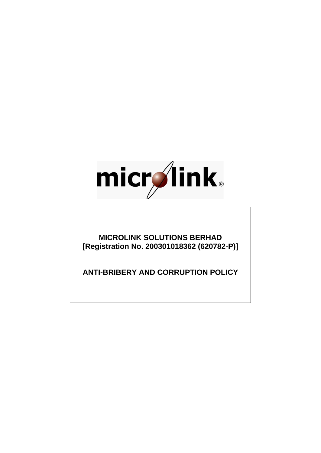

**MICROLINK SOLUTIONS BERHAD [Registration No. 200301018362 (620782-P)]**

**ANTI-BRIBERY AND CORRUPTION POLICY**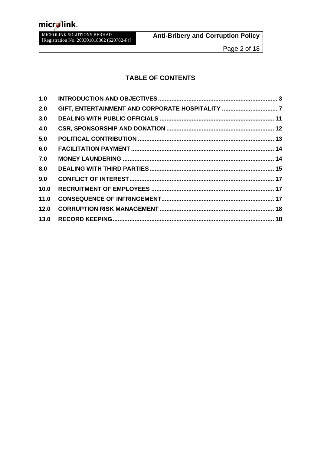# micr**ylink**.

MICROLINK SOLUTIONS BERHAD [Registration No. 200301018362 (620782-P)]

### **TABLE OF CONTENTS**

| 1.0  |                                                  |  |
|------|--------------------------------------------------|--|
| 2.0  | GIFT, ENTERTAINMENT AND CORPORATE HOSPITALITY  7 |  |
| 3.0  |                                                  |  |
| 4.0  |                                                  |  |
| 5.0  |                                                  |  |
| 6.0  |                                                  |  |
| 7.0  |                                                  |  |
| 8.0  |                                                  |  |
| 9.0  |                                                  |  |
| 10.0 |                                                  |  |
| 11.0 |                                                  |  |
| 12.0 |                                                  |  |
| 13.0 |                                                  |  |
|      |                                                  |  |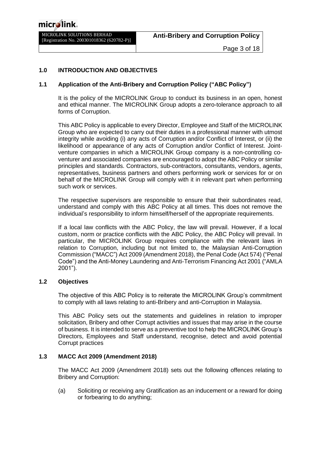#### <span id="page-2-0"></span>**1.0 INTRODUCTION AND OBJECTIVES**

#### **1.1 Application of the Anti-Bribery and Corruption Policy ("ABC Policy")**

It is the policy of the MICROLINK Group to conduct its business in an open, honest and ethical manner. The MICROLINK Group adopts a zero-tolerance approach to all forms of Corruption.

This ABC Policy is applicable to every Director, Employee and Staff of the MICROLINK Group who are expected to carry out their duties in a professional manner with utmost integrity while avoiding (i) any acts of Corruption and/or Conflict of Interest, or (ii) the likelihood or appearance of any acts of Corruption and/or Conflict of Interest. Jointventure companies in which a MICROLINK Group company is a non-controlling coventurer and associated companies are encouraged to adopt the ABC Policy or similar principles and standards. Contractors, sub-contractors, consultants, vendors, agents, representatives, business partners and others performing work or services for or on behalf of the MICROLINK Group will comply with it in relevant part when performing such work or services.

The respective supervisors are responsible to ensure that their subordinates read, understand and comply with this ABC Policy at all times. This does not remove the individual's responsibility to inform himself/herself of the appropriate requirements.

If a local law conflicts with the ABC Policy, the law will prevail. However, if a local custom, norm or practice conflicts with the ABC Policy, the ABC Policy will prevail. In particular, the MICROLINK Group requires compliance with the relevant laws in relation to Corruption, including but not limited to, the Malaysian Anti-Corruption Commission ("MACC") Act 2009 (Amendment 2018), the Penal Code (Act 574) ("Penal Code") and the Anti-Money Laundering and Anti-Terrorism Financing Act 2001 ("AMLA 2001").

#### **1.2 Objectives**

The objective of this ABC Policy is to reiterate the MICROLINK Group's commitment to comply with all laws relating to anti-Bribery and anti-Corruption in Malaysia.

This ABC Policy sets out the statements and guidelines in relation to improper solicitation, Bribery and other Corrupt activities and issues that may arise in the course of business. It is intended to serve as a preventive tool to help the MICROLINK Group's Directors, Employees and Staff understand, recognise, detect and avoid potential Corrupt practices

#### **1.3 MACC Act 2009 (Amendment 2018)**

The MACC Act 2009 (Amendment 2018) sets out the following offences relating to Bribery and Corruption:

(a) Soliciting or receiving any Gratification as an inducement or a reward for doing or forbearing to do anything;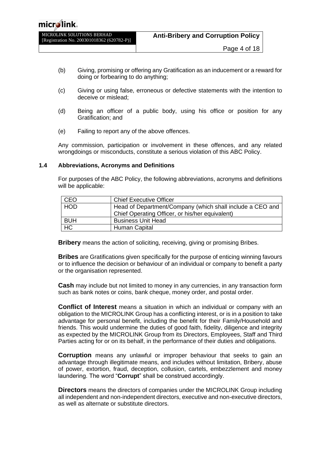- (b) Giving, promising or offering any Gratification as an inducement or a reward for doing or forbearing to do anything;
- (c) Giving or using false, erroneous or defective statements with the intention to deceive or mislead;
- (d) Being an officer of a public body, using his office or position for any Gratification; and
- (e) Failing to report any of the above offences.

Any commission, participation or involvement in these offences, and any related wrongdoings or misconducts, constitute a serious violation of this ABC Policy.

#### **1.4 Abbreviations, Acronyms and Definitions**

For purposes of the ABC Policy, the following abbreviations, acronyms and definitions will be applicable:

| CEO            | <b>Chief Executive Officer</b>                                                                               |
|----------------|--------------------------------------------------------------------------------------------------------------|
| <b>HOD</b>     | Head of Department/Company (which shall include a CEO and<br>Chief Operating Officer, or his/her equivalent) |
| <b>BUH</b>     | <b>Business Unit Head</b>                                                                                    |
| H <sub>C</sub> | Human Capital                                                                                                |

**Bribery** means the action of soliciting, receiving, giving or promising Bribes.

**Bribes** are Gratifications given specifically for the purpose of enticing winning favours or to influence the decision or behaviour of an individual or company to benefit a party or the organisation represented.

**Cash** may include but not limited to money in any currencies, in any transaction form such as bank notes or coins, bank cheque, money order, and postal order.

**Conflict of Interest** means a situation in which an individual or company with an obligation to the MICROLINK Group has a conflicting interest, or is in a position to take advantage for personal benefit, including the benefit for their Family/Household and friends. This would undermine the duties of good faith, fidelity, diligence and integrity as expected by the MICROLINK Group from its Directors, Employees, Staff and Third Parties acting for or on its behalf, in the performance of their duties and obligations.

**Corruption** means any unlawful or improper behaviour that seeks to gain an advantage through illegitimate means, and includes without limitation, Bribery, abuse of power, extortion, fraud, deception, collusion, cartels, embezzlement and money laundering. The word "**Corrupt**" shall be construed accordingly.

**Directors** means the directors of companies under the MICROLINK Group including all independent and non-independent directors, executive and non-executive directors, as well as alternate or substitute directors.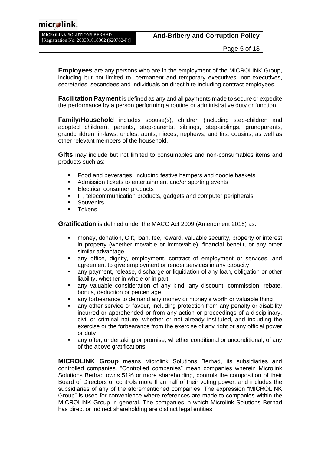| MICROLINK SOLUTIONS BERHAD                 |  |  |
|--------------------------------------------|--|--|
| [Registration No. 200301018362 (620782-P)] |  |  |

**Employees** are any persons who are in the employment of the MICROLINK Group, including but not limited to, permanent and temporary executives, non-executives, secretaries, secondees and individuals on direct hire including contract employees.

**Facilitation Payment** is defined as any and all payments made to secure or expedite the performance by a person performing a routine or administrative duty or function.

**Family/Household** includes spouse(s), children (including step-children and adopted children), parents, step-parents, siblings, step-siblings, grandparents, grandchildren, in-laws, uncles, aunts, nieces, nephews, and first cousins, as well as other relevant members of the household.

**Gifts** may include but not limited to consumables and non-consumables items and products such as:

- Food and beverages, including festive hampers and goodie baskets
- Admission tickets to entertainment and/or sporting events
- Electrical consumer products
- **IT, telecommunication products, gadgets and computer peripherals**
- **Souvenirs**
- Tokens

**Gratification** is defined under the MACC Act 2009 (Amendment 2018) as:

- money, donation, Gift, loan, fee, reward, valuable security, property or interest in property (whether movable or immovable), financial benefit, or any other similar advantage
- any office, dignity, employment, contract of employment or services, and agreement to give employment or render services in any capacity
- any payment, release, discharge or liquidation of any loan, obligation or other liability, whether in whole or in part
- any valuable consideration of any kind, any discount, commission, rebate, bonus, deduction or percentage
- any forbearance to demand any money or money's worth or valuable thing
- any other service or favour, including protection from any penalty or disability incurred or apprehended or from any action or proceedings of a disciplinary, civil or criminal nature, whether or not already instituted, and including the exercise or the forbearance from the exercise of any right or any official power or duty
- any offer, undertaking or promise, whether conditional or unconditional, of any of the above gratifications

**MICROLINK Group** means Microlink Solutions Berhad, its subsidiaries and controlled companies. "Controlled companies" mean companies wherein Microlink Solutions Berhad owns 51% or more shareholding, controls the composition of their Board of Directors or controls more than half of their voting power, and includes the subsidiaries of any of the aforementioned companies. The expression "MICROLINK Group" is used for convenience where references are made to companies within the MICROLINK Group in general. The companies in which Microlink Solutions Berhad has direct or indirect shareholding are distinct legal entities.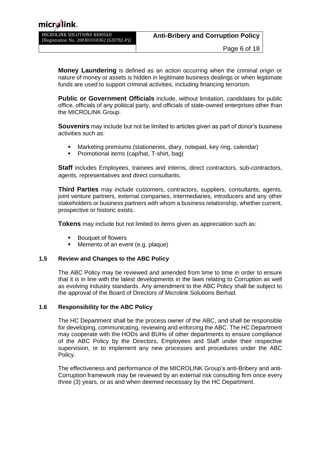| MICROLINK SOLUTIONS BERHAD                 |
|--------------------------------------------|
| [Registration No. 200301018362 (620782-P)] |

**Money Laundering** is defined as an action occurring when the criminal origin or nature of money or assets is hidden in legitimate business dealings or when legitimate funds are used to support criminal activities, including financing terrorism.

**Public or Government Officials** include, without limitation, candidates for public office, officials of any political party, and officials of state-owned enterprises other than the MICROLINK Group.

**Souvenirs** may include but not be limited to articles given as part of donor's business activities such as:

- Marketing premiums (stationeries, diary, notepad, key ring, calendar)
- Promotional items (cap/hat, T-shirt, bag)

**Staff** includes Employees, trainees and interns, direct contractors, sub-contractors, agents, representatives and direct consultants.

**Third Parties** may include customers, contractors, suppliers, consultants, agents, joint venture partners, external companies, intermediaries, introducers and any other stakeholders or business partners with whom a business relationship, whether current, prospective or historic exists.

**Tokens** may include but not limited to items given as appreciation such as:

- **Bouquet of flowers**
- Memento of an event (e.g. plaque)

#### **1.5 Review and Changes to the ABC Policy**

The ABC Policy may be reviewed and amended from time to time in order to ensure that it is in line with the latest developments in the laws relating to Corruption as well as evolving industry standards. Any amendment to the ABC Policy shall be subject to the approval of the Board of Directors of Microlink Solutions Berhad.

#### **1.6 Responsibility for the ABC Policy**

The HC Department shall be the process owner of the ABC, and shall be responsible for developing, communicating, reviewing and enforcing the ABC. The HC Department may cooperate with the HODs and BUHs of other departments to ensure compliance of the ABC Policy by the Directors, Employees and Staff under their respective supervision, or to implement any new processes and procedures under the ABC Policy.

The effectiveness and performance of the MICROLINK Group's anti-Bribery and anti-Corruption framework may be reviewed by an external risk consulting firm once every three (3) years, or as and when deemed necessary by the HC Department.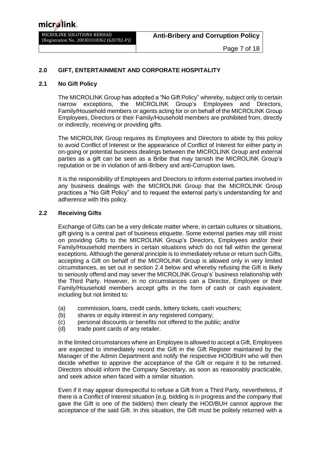#### <span id="page-6-0"></span>**2.0 GIFT, ENTERTAINMENT AND CORPORATE HOSPITALITY**

#### **2.1 No Gift Policy**

The MICROLINK Group has adopted a "No Gift Policy" whereby, subject only to certain narrow exceptions, the MICROLINK Group's Employees and Directors, Family/Household members or agents acting for or on behalf of the MICROLINK Group Employees, Directors or their Family/Household members are prohibited from, directly or indirectly, receiving or providing gifts.

The MICROLINK Group requires its Employees and Directors to abide by this policy to avoid Conflict of Interest or the appearance of Conflict of Interest for either party in on-going or potential business dealings between the MICROLINK Group and external parties as a gift can be seen as a Bribe that may tarnish the MICROLINK Group's reputation or be in violation of anti-Bribery and anti-Corruption laws.

It is the responsibility of Employees and Directors to inform external parties involved in any business dealings with the MICROLINK Group that the MICROLINK Group practices a "No Gift Policy" and to request the external party's understanding for and adherence with this policy.

#### **2.2 Receiving Gifts**

Exchange of Gifts can be a very delicate matter where, in certain cultures or situations, gift giving is a central part of business etiquette. Some external parties may still insist on providing Gifts to the MICROLINK Group's Directors, Employees and/or their Family/Household members in certain situations which do not fall within the general exceptions. Although the general principle is to immediately refuse or return such Gifts, accepting a Gift on behalf of the MICROLINK Group is allowed only in very limited circumstances, as set out in section 2.4 below and whereby refusing the Gift is likely to seriously offend and may sever the MICROLINK Group's' business relationship with the Third Party. However, in no circumstances can a Director, Employee or their Family/Household members accept gifts in the form of cash or cash equivalent, including but not limited to:

- (a) commission, loans, credit cards, lottery tickets, cash vouchers;
- (b) shares or equity interest in any registered company;
- (c) personal discounts or benefits not offered to the public; and/or
- (d) trade point cards of any retailer.

In the limited circumstances where an Employee is allowed to accept a Gift, Employees are expected to immediately record the Gift in the Gift Register maintained by the Manager of the Admin Department and notify the respective HOD/BUH who will then decide whether to approve the acceptance of the Gift or require it to be returned. Directors should inform the Company Secretary, as soon as reasonably practicable, and seek advice when faced with a similar situation.

Even if it may appear disrespectful to refuse a Gift from a Third Party, nevertheless, if there is a Conflict of Interest situation (e.g. bidding is in progress and the company that gave the Gift is one of the bidders) then clearly the HOD/BUH cannot approve the acceptance of the said Gift. In this situation, the Gift must be politely returned with a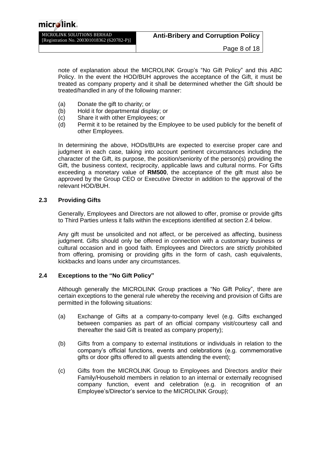| MICROLINK SOLUTIONS BERHAD                 | <b>Anti-Bribery and Corruption Policy</b> |
|--------------------------------------------|-------------------------------------------|
| [Registration No. 200301018362 (620782-P)] |                                           |
|                                            |                                           |

note of explanation about the MICROLINK Group's "No Gift Policy" and this ABC Policy. In the event the HOD/BUH approves the acceptance of the Gift, it must be treated as company property and it shall be determined whether the Gift should be treated/handled in any of the following manner:

- (a) Donate the gift to charity; or<br>(b) Hold it for departmental disp
- Hold it for departmental display; or
- (c) Share it with other Employees; or
- (d) Permit it to be retained by the Employee to be used publicly for the benefit of other Employees.

In determining the above, HODs/BUHs are expected to exercise proper care and judgment in each case, taking into account pertinent circumstances including the character of the Gift, its purpose, the position/seniority of the person(s) providing the Gift, the business context, reciprocity, applicable laws and cultural norms. For Gifts exceeding a monetary value of **RM500**, the acceptance of the gift must also be approved by the Group CEO or Executive Director in addition to the approval of the relevant HOD/BUH.

#### **2.3 Providing Gifts**

Generally, Employees and Directors are not allowed to offer, promise or provide gifts to Third Parties unless it falls within the exceptions identified at section 2.4 below.

Any gift must be unsolicited and not affect, or be perceived as affecting, business judgment. Gifts should only be offered in connection with a customary business or cultural occasion and in good faith. Employees and Directors are strictly prohibited from offering, promising or providing gifts in the form of cash, cash equivalents, kickbacks and loans under any circumstances.

#### **2.4 Exceptions to the "No Gift Policy"**

Although generally the MICROLINK Group practices a "No Gift Policy", there are certain exceptions to the general rule whereby the receiving and provision of Gifts are permitted in the following situations:

- (a) Exchange of Gifts at a company-to-company level (e.g. Gifts exchanged between companies as part of an official company visit/courtesy call and thereafter the said Gift is treated as company property);
- (b) Gifts from a company to external institutions or individuals in relation to the company's official functions, events and celebrations (e.g. commemorative gifts or door gifts offered to all guests attending the event);
- (c) Gifts from the MICROLINK Group to Employees and Directors and/or their Family/Household members in relation to an internal or externally recognised company function, event and celebration (e.g. in recognition of an Employee's/Director's service to the MICROLINK Group);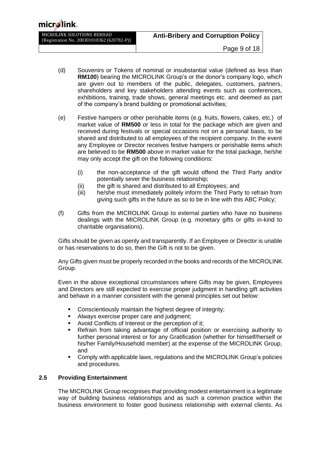- (d) Souvenirs or Tokens of nominal or insubstantial value (defined as less than **RM100**) bearing the MICROLINK Group's or the donor's company logo, which are given out to members of the public, delegates, customers, partners, shareholders and key stakeholders attending events such as conferences, exhibitions, training, trade shows, general meetings etc. and deemed as part of the company's brand building or promotional activities;
- (e) Festive hampers or other perishable items (e.g. fruits, flowers, cakes, etc.) of market value of **RM500** or less in total for the package which are given and received during festivals or special occasions not on a personal basis, to be shared and distributed to all employees of the recipient company. In the event any Employee or Director receives festive hampers or perishable items which are believed to be **RM500** above in market value for the total package, he/she may only accept the gift on the following conditions:
	- (i) the non-acceptance of the gift would offend the Third Party and/or potentially sever the business relationship;
	- (ii) the gift is shared and distributed to all Employees; and
	- (iii) he/she must immediately politely inform the Third Party to refrain from giving such gifts in the future as so to be in line with this ABC Policy;
- (f) Gifts from the MICROLINK Group to external parties who have no business dealings with the MICROLINK Group (e.g. monetary gifts or gifts in-kind to charitable organisations).

Gifts should be given as openly and transparently. If an Employee or Director is unable or has reservations to do so, then the Gift is not to be given.

Any Gifts given must be properly recorded in the books and records of the MICROLINK Group.

Even in the above exceptional circumstances where Gifts may be given, Employees and Directors are still expected to exercise proper judgment in handling gift activities and behave in a manner consistent with the general principles set out below:

- Conscientiously maintain the highest degree of integrity;
- **EXED** Always exercise proper care and judgment;
- Avoid Conflicts of Interest or the perception of it;
- Refrain from taking advantage of official position or exercising authority to further personal interest or for any Gratification (whether for himself/herself or his/her Family/Household member) at the expense of the MICROLINK Group, and
- Comply with applicable laws, regulations and the MICROLINK Group's policies and procedures.

#### **2.5 Providing Entertainment**

The MICROLINK Group recognises that providing modest entertainment is a legitimate way of building business relationships and as such a common practice within the business environment to foster good business relationship with external clients. As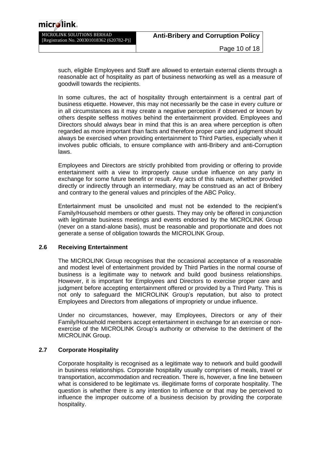| micr∕∕link.                                                              |                                           |
|--------------------------------------------------------------------------|-------------------------------------------|
| MICROLINK SOLUTIONS BERHAD<br>[Registration No. 200301018362 (620782-P)] | <b>Anti-Bribery and Corruption Policy</b> |
|                                                                          | Page 10 of 18                             |

such, eligible Employees and Staff are allowed to entertain external clients through a reasonable act of hospitality as part of business networking as well as a measure of goodwill towards the recipients.

In some cultures, the act of hospitality through entertainment is a central part of business etiquette. However, this may not necessarily be the case in every culture or in all circumstances as it may create a negative perception if observed or known by others despite selfless motives behind the entertainment provided. Employees and Directors should always bear in mind that this is an area where perception is often regarded as more important than facts and therefore proper care and judgment should always be exercised when providing entertainment to Third Parties, especially when it involves public officials, to ensure compliance with anti-Bribery and anti-Corruption laws.

Employees and Directors are strictly prohibited from providing or offering to provide entertainment with a view to improperly cause undue influence on any party in exchange for some future benefit or result. Any acts of this nature, whether provided directly or indirectly through an intermediary, may be construed as an act of Bribery and contrary to the general values and principles of the ABC Policy.

Entertainment must be unsolicited and must not be extended to the recipient's Family/Household members or other guests. They may only be offered in conjunction with legitimate business meetings and events endorsed by the MICROLINK Group (never on a stand-alone basis), must be reasonable and proportionate and does not generate a sense of obligation towards the MICROLINK Group.

#### **2.6 Receiving Entertainment**

The MICROLINK Group recognises that the occasional acceptance of a reasonable and modest level of entertainment provided by Third Parties in the normal course of business is a legitimate way to network and build good business relationships. However, it is important for Employees and Directors to exercise proper care and judgment before accepting entertainment offered or provided by a Third Party. This is not only to safeguard the MICROLINK Group's reputation, but also to protect Employees and Directors from allegations of impropriety or undue influence.

Under no circumstances, however, may Employees, Directors or any of their Family/Household members accept entertainment in exchange for an exercise or nonexercise of the MICROLINK Group's authority or otherwise to the detriment of the MICROLINK Group.

#### **2.7 Corporate Hospitality**

Corporate hospitality is recognised as a legitimate way to network and build goodwill in business relationships. Corporate hospitality usually comprises of meals, travel or transportation, accommodation and recreation. There is, however, a fine line between what is considered to be legitimate vs. illegitimate forms of corporate hospitality. The question is whether there is any intention to influence or that may be perceived to influence the improper outcome of a business decision by providing the corporate hospitality.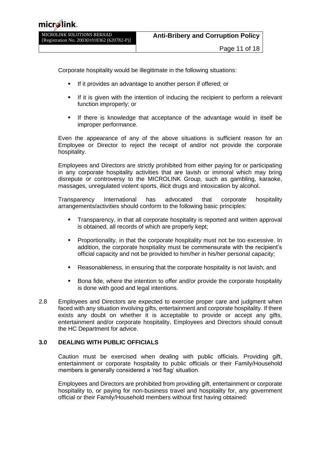Corporate hospitality would be illegitimate in the following situations:

- If it provides an advantage to another person if offered; or
- If it is given with the intention of inducing the recipient to perform a relevant function improperly; or
- If there is knowledge that acceptance of the advantage would in itself be improper performance.

Even the appearance of any of the above situations is sufficient reason for an Employee or Director to reject the receipt of and/or not provide the corporate hospitality.

Employees and Directors are strictly prohibited from either paying for or participating in any corporate hospitality activities that are lavish or immoral which may bring disrepute or controversy to the MICROLINK Group, such as gambling, karaoke, massages, unregulated violent sports, illicit drugs and intoxication by alcohol.

Transparency International has advocated that corporate hospitality arrangements/activities should conform to the following basic principles:

- Transparency, in that all corporate hospitality is reported and written approval is obtained, all records of which are properly kept;
- Proportionality, in that the corporate hospitality must not be too excessive. In addition, the corporate hospitality must be commensurate with the recipient's official capacity and not be provided to him/her in his/her personal capacity;
- Reasonableness, in ensuring that the corporate hospitality is not lavish; and
- Bona fide, where the intention to offer and/or provide the corporate hospitality is done with good and legal intentions.
- 2.8 Employees and Directors are expected to exercise proper care and judgment when faced with any situation involving gifts, entertainment and corporate hospitality. If there exists any doubt on whether it is acceptable to provide or accept any gifts, entertainment and/or corporate hospitality, Employees and Directors should consult the HC Department for advice.

#### <span id="page-10-0"></span>**3.0 DEALING WITH PUBLIC OFFICIALS**

Caution must be exercised when dealing with public officials. Providing gift, entertainment or corporate hospitality to public officials or their Family/Household members is generally considered a 'red flag' situation.

Employees and Directors are prohibited from providing gift, entertainment or corporate hospitality to, or paying for non-business travel and hospitality for, any government official or their Family/Household members without first having obtained: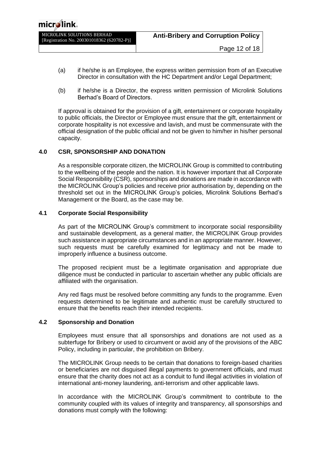- (a) if he/she is an Employee, the express written permission from of an Executive Director in consultation with the HC Department and/or Legal Department;
- (b) if he/she is a Director, the express written permission of Microlink Solutions Berhad's Board of Directors.

If approval is obtained for the provision of a gift, entertainment or corporate hospitality to public officials, the Director or Employee must ensure that the gift, entertainment or corporate hospitality is not excessive and lavish, and must be commensurate with the official designation of the public official and not be given to him/her in his/her personal capacity.

#### <span id="page-11-0"></span>**4.0 CSR, SPONSORSHIP AND DONATION**

As a responsible corporate citizen, the MICROLINK Group is committed to contributing to the wellbeing of the people and the nation. It is however important that all Corporate Social Responsibility (CSR), sponsorships and donations are made in accordance with the MICROLINK Group's policies and receive prior authorisation by, depending on the threshold set out in the MICROLINK Group's policies, Microlink Solutions Berhad's Management or the Board, as the case may be.

#### **4.1 Corporate Social Responsibility**

As part of the MICROLINK Group's commitment to incorporate social responsibility and sustainable development, as a general matter, the MICROLINK Group provides such assistance in appropriate circumstances and in an appropriate manner. However, such requests must be carefully examined for legitimacy and not be made to improperly influence a business outcome.

The proposed recipient must be a legitimate organisation and appropriate due diligence must be conducted in particular to ascertain whether any public officials are affiliated with the organisation.

Any red flags must be resolved before committing any funds to the programme. Even requests determined to be legitimate and authentic must be carefully structured to ensure that the benefits reach their intended recipients.

#### **4.2 Sponsorship and Donation**

Employees must ensure that all sponsorships and donations are not used as a subterfuge for Bribery or used to circumvent or avoid any of the provisions of the ABC Policy, including in particular, the prohibition on Bribery.

The MICROLINK Group needs to be certain that donations to foreign-based charities or beneficiaries are not disguised illegal payments to government officials, and must ensure that the charity does not act as a conduit to fund illegal activities in violation of international anti-money laundering, anti-terrorism and other applicable laws.

In accordance with the MICROLINK Group's commitment to contribute to the community coupled with its values of integrity and transparency, all sponsorships and donations must comply with the following: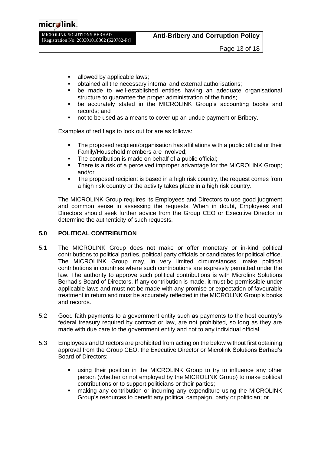## micr**∕**li

MICROLINK SOLUTIONS BERHAD [Registration No. 200301018362 (620782-P)]

- allowed by applicable laws;
- obtained all the necessary internal and external authorisations;
- be made to well-established entities having an adequate organisational structure to guarantee the proper administration of the funds;
- be accurately stated in the MICROLINK Group's accounting books and records; and
- not to be used as a means to cover up an undue payment or Bribery.

Examples of red flags to look out for are as follows:

- The proposed recipient/organisation has affiliations with a public official or their Family/Household members are involved;
- The contribution is made on behalf of a public official:
- There is a risk of a perceived improper advantage for the MICROLINK Group; and/or
- The proposed recipient is based in a high risk country, the request comes from a high risk country or the activity takes place in a high risk country.

The MICROLINK Group requires its Employees and Directors to use good judgment and common sense in assessing the requests. When in doubt, Employees and Directors should seek further advice from the Group CEO or Executive Director to determine the authenticity of such requests.

#### <span id="page-12-0"></span>**5.0 POLITICAL CONTRIBUTION**

- 5.1 The MICROLINK Group does not make or offer monetary or in-kind political contributions to political parties, political party officials or candidates for political office. The MICROLINK Group may, in very limited circumstances, make political contributions in countries where such contributions are expressly permitted under the law. The authority to approve such political contributions is with Microlink Solutions Berhad's Board of Directors. If any contribution is made, it must be permissible under applicable laws and must not be made with any promise or expectation of favourable treatment in return and must be accurately reflected in the MICROLINK Group's books and records.
- 5.2 Good faith payments to a government entity such as payments to the host country's federal treasury required by contract or law, are not prohibited, so long as they are made with due care to the government entity and not to any individual official.
- 5.3 Employees and Directors are prohibited from acting on the below without first obtaining approval from the Group CEO, the Executive Director or Microlink Solutions Berhad's Board of Directors:
	- using their position in the MICROLINK Group to try to influence any other person (whether or not employed by the MICROLINK Group) to make political contributions or to support politicians or their parties;
	- making any contribution or incurring any expenditure using the MICROLINK Group's resources to benefit any political campaign, party or politician; or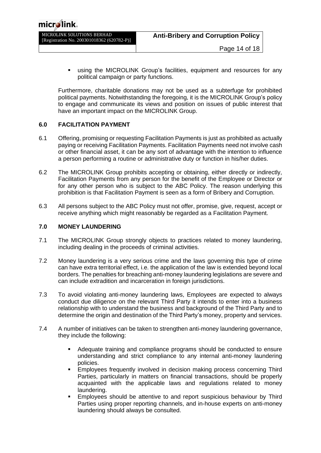| micr≸link。                                                               |                                           |
|--------------------------------------------------------------------------|-------------------------------------------|
| MICROLINK SOLUTIONS BERHAD<br>[Registration No. 200301018362 (620782-P)] | <b>Anti-Bribery and Corruption Policy</b> |
|                                                                          | Page 14 of 18                             |

using the MICROLINK Group's facilities, equipment and resources for any political campaign or party functions.

Furthermore, charitable donations may not be used as a subterfuge for prohibited political payments. Notwithstanding the foregoing, it is the MICROLINK Group's policy to engage and communicate its views and position on issues of public interest that have an important impact on the MICROLINK Group.

#### <span id="page-13-0"></span>**6.0 FACILITATION PAYMENT**

 $\Lambda$ 

- 6.1 Offering, promising or requesting Facilitation Payments is just as prohibited as actually paying or receiving Facilitation Payments. Facilitation Payments need not involve cash or other financial asset, it can be any sort of advantage with the intention to influence a person performing a routine or administrative duty or function in his/her duties.
- 6.2 The MICROLINK Group prohibits accepting or obtaining, either directly or indirectly, Facilitation Payments from any person for the benefit of the Employee or Director or for any other person who is subject to the ABC Policy. The reason underlying this prohibition is that Facilitation Payment is seen as a form of Bribery and Corruption.
- 6.3 All persons subject to the ABC Policy must not offer, promise, give, request, accept or receive anything which might reasonably be regarded as a Facilitation Payment.

#### <span id="page-13-1"></span>**7.0 MONEY LAUNDERING**

- 7.1 The MICROLINK Group strongly objects to practices related to money laundering, including dealing in the proceeds of criminal activities.
- 7.2 Money laundering is a very serious crime and the laws governing this type of crime can have extra territorial effect, i.e. the application of the law is extended beyond local borders. The penalties for breaching anti-money laundering legislations are severe and can include extradition and incarceration in foreign jurisdictions.
- 7.3 To avoid violating anti-money laundering laws, Employees are expected to always conduct due diligence on the relevant Third Party it intends to enter into a business relationship with to understand the business and background of the Third Party and to determine the origin and destination of the Third Party's money, property and services.
- 7.4 A number of initiatives can be taken to strengthen anti-money laundering governance, they include the following:
	- Adequate training and compliance programs should be conducted to ensure understanding and strict compliance to any internal anti-money laundering policies.
	- Employees frequently involved in decision making process concerning Third Parties, particularly in matters on financial transactions, should be properly acquainted with the applicable laws and regulations related to money laundering.
	- Employees should be attentive to and report suspicious behaviour by Third Parties using proper reporting channels, and in-house experts on anti-money laundering should always be consulted.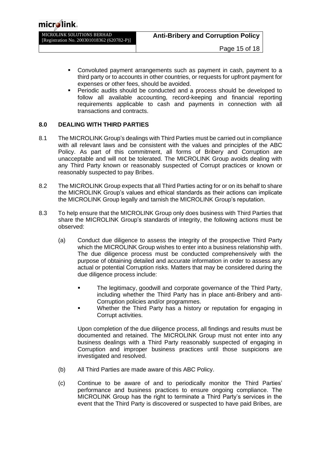MICROLINK SOLUTIONS BERHAD [Registration No. 200301018362 (620782-P)]

- Convoluted payment arrangements such as payment in cash, payment to a third party or to accounts in other countries, or requests for upfront payment for expenses or other fees, should be avoided.
- Periodic audits should be conducted and a process should be developed to follow all available accounting, record-keeping and financial reporting requirements applicable to cash and payments in connection with all transactions and contracts.

#### <span id="page-14-0"></span>**8.0 DEALING WITH THIRD PARTIES**

- 8.1 The MICROLINK Group's dealings with Third Parties must be carried out in compliance with all relevant laws and be consistent with the values and principles of the ABC Policy. As part of this commitment, all forms of Bribery and Corruption are unacceptable and will not be tolerated. The MICROLINK Group avoids dealing with any Third Party known or reasonably suspected of Corrupt practices or known or reasonably suspected to pay Bribes.
- 8.2 The MICROLINK Group expects that all Third Parties acting for or on its behalf to share the MICROLINK Group's values and ethical standards as their actions can implicate the MICROLINK Group legally and tarnish the MICROLINK Group's reputation.
- 8.3 To help ensure that the MICROLINK Group only does business with Third Parties that share the MICROLINK Group's standards of integrity, the following actions must be observed:
	- (a) Conduct due diligence to assess the integrity of the prospective Third Party which the MICROLINK Group wishes to enter into a business relationship with. The due diligence process must be conducted comprehensively with the purpose of obtaining detailed and accurate information in order to assess any actual or potential Corruption risks. Matters that may be considered during the due diligence process include:
		- The legitimacy, goodwill and corporate governance of the Third Party, including whether the Third Party has in place anti-Bribery and anti-Corruption policies and/or programmes.
		- Whether the Third Party has a history or reputation for engaging in Corrupt activities.

Upon completion of the due diligence process, all findings and results must be documented and retained. The MICROLINK Group must not enter into any business dealings with a Third Party reasonably suspected of engaging in Corruption and improper business practices until those suspicions are investigated and resolved.

- (b) All Third Parties are made aware of this ABC Policy.
- (c) Continue to be aware of and to periodically monitor the Third Parties' performance and business practices to ensure ongoing compliance. The MICROLINK Group has the right to terminate a Third Party's services in the event that the Third Party is discovered or suspected to have paid Bribes, are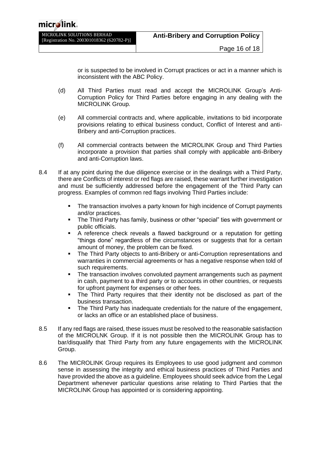or is suspected to be involved in Corrupt practices or act in a manner which is inconsistent with the ABC Policy.

- (d) All Third Parties must read and accept the MICROLINK Group's Anti-Corruption Policy for Third Parties before engaging in any dealing with the MICROLINK Group.
- (e) All commercial contracts and, where applicable, invitations to bid incorporate provisions relating to ethical business conduct, Conflict of Interest and anti-Bribery and anti-Corruption practices.
- (f) All commercial contracts between the MICROLINK Group and Third Parties incorporate a provision that parties shall comply with applicable anti-Bribery and anti-Corruption laws.
- 8.4 If at any point during the due diligence exercise or in the dealings with a Third Party, there are Conflicts of interest or red flags are raised, these warrant further investigation and must be sufficiently addressed before the engagement of the Third Party can progress. Examples of common red flags involving Third Parties include:
	- **•** The transaction involves a party known for high incidence of Corrupt payments and/or practices.
	- The Third Party has family, business or other "special" ties with government or public officials.
	- A reference check reveals a flawed background or a reputation for getting "things done" regardless of the circumstances or suggests that for a certain amount of money, the problem can be fixed.
	- The Third Party objects to anti-Bribery or anti-Corruption representations and warranties in commercial agreements or has a negative response when told of such requirements.
	- The transaction involves convoluted payment arrangements such as payment in cash, payment to a third party or to accounts in other countries, or requests for upfront payment for expenses or other fees.
	- The Third Party requires that their identity not be disclosed as part of the business transaction.
	- **•** The Third Party has inadequate credentials for the nature of the engagement, or lacks an office or an established place of business.
- 8.5 If any red flags are raised, these issues must be resolved to the reasonable satisfaction of the MICROLNK Group. If it is not possible then the MICROLINK Group has to bar/disqualify that Third Party from any future engagements with the MICROLINK Group.
- 8.6 The MICROLINK Group requires its Employees to use good judgment and common sense in assessing the integrity and ethical business practices of Third Parties and have provided the above as a guideline. Employees should seek advice from the Legal Department whenever particular questions arise relating to Third Parties that the MICROLINK Group has appointed or is considering appointing.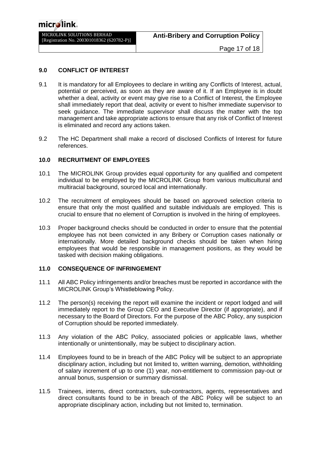#### <span id="page-16-0"></span>**9.0 CONFLICT OF INTEREST**

- 9.1 It is mandatory for all Employees to declare in writing any Conflicts of Interest, actual, potential or perceived, as soon as they are aware of it. If an Employee is in doubt whether a deal, activity or event may give rise to a Conflict of Interest, the Employee shall immediately report that deal, activity or event to his/her immediate supervisor to seek guidance. The immediate supervisor shall discuss the matter with the top management and take appropriate actions to ensure that any risk of Conflict of Interest is eliminated and record any actions taken.
- 9.2 The HC Department shall make a record of disclosed Conflicts of Interest for future references.

#### <span id="page-16-1"></span>**10.0 RECRUITMENT OF EMPLOYEES**

- 10.1 The MICROLINK Group provides equal opportunity for any qualified and competent individual to be employed by the MICROLINK Group from various multicultural and multiracial background, sourced local and internationally.
- 10.2 The recruitment of employees should be based on approved selection criteria to ensure that only the most qualified and suitable individuals are employed. This is crucial to ensure that no element of Corruption is involved in the hiring of employees.
- 10.3 Proper background checks should be conducted in order to ensure that the potential employee has not been convicted in any Bribery or Corruption cases nationally or internationally. More detailed background checks should be taken when hiring employees that would be responsible in management positions, as they would be tasked with decision making obligations.

#### <span id="page-16-2"></span>**11.0 CONSEQUENCE OF INFRINGEMENT**

- 11.1 All ABC Policy infringements and/or breaches must be reported in accordance with the MICROLINK Group's Whistleblowing Policy.
- 11.2 The person(s) receiving the report will examine the incident or report lodged and will immediately report to the Group CEO and Executive Director (if appropriate), and if necessary to the Board of Directors. For the purpose of the ABC Policy, any suspicion of Corruption should be reported immediately.
- 11.3 Any violation of the ABC Policy, associated policies or applicable laws, whether intentionally or unintentionally, may be subject to disciplinary action.
- 11.4 Employees found to be in breach of the ABC Policy will be subject to an appropriate disciplinary action, including but not limited to, written warning, demotion, withholding of salary increment of up to one (1) year, non-entitlement to commission pay-out or annual bonus, suspension or summary dismissal.
- 11.5 Trainees, interns, direct contractors, sub-contractors, agents, representatives and direct consultants found to be in breach of the ABC Policy will be subject to an appropriate disciplinary action, including but not limited to, termination.